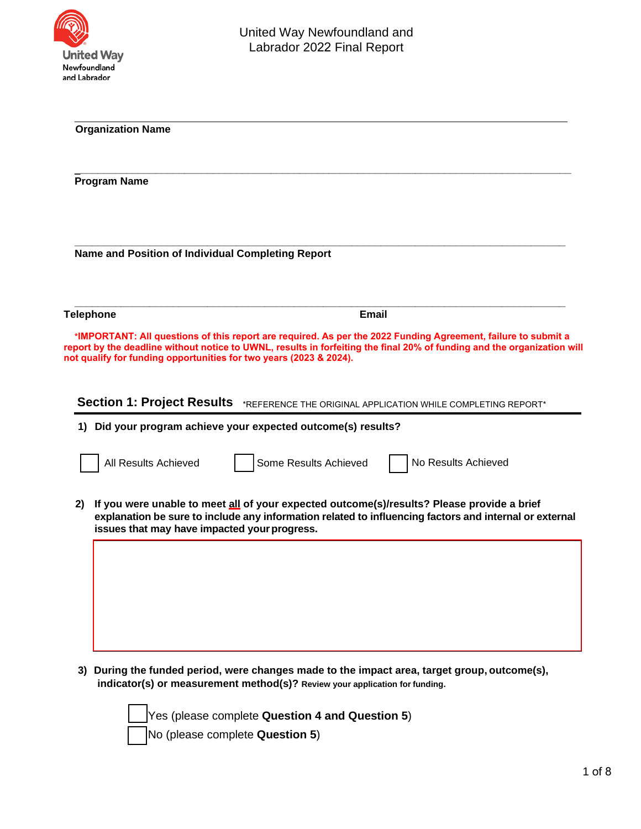

| <b>Organization Name</b><br><b>Program Name</b><br>Name and Position of Individual Completing Report |                                                                                                                                                                                                                                                      |  |  |  |  |                  |                                                                                                                                                                                                                                                                                                                |
|------------------------------------------------------------------------------------------------------|------------------------------------------------------------------------------------------------------------------------------------------------------------------------------------------------------------------------------------------------------|--|--|--|--|------------------|----------------------------------------------------------------------------------------------------------------------------------------------------------------------------------------------------------------------------------------------------------------------------------------------------------------|
|                                                                                                      |                                                                                                                                                                                                                                                      |  |  |  |  | <b>Telephone</b> | <b>Email</b>                                                                                                                                                                                                                                                                                                   |
|                                                                                                      |                                                                                                                                                                                                                                                      |  |  |  |  |                  | *IMPORTANT: All questions of this report are required. As per the 2022 Funding Agreement, failure to submit a<br>report by the deadline without notice to UWNL, results in forfeiting the final 20% of funding and the organization will<br>not qualify for funding opportunities for two years (2023 & 2024). |
|                                                                                                      | <b>Section 1: Project Results</b><br>*REFERENCE THE ORIGINAL APPLICATION WHILE COMPLETING REPORT*<br>1) Did your program achieve your expected outcome(s) results?                                                                                   |  |  |  |  |                  |                                                                                                                                                                                                                                                                                                                |
|                                                                                                      | No Results Achieved<br>All Results Achieved<br>Some Results Achieved                                                                                                                                                                                 |  |  |  |  |                  |                                                                                                                                                                                                                                                                                                                |
| 2)                                                                                                   | If you were unable to meet all of your expected outcome(s)/results? Please provide a brief<br>explanation be sure to include any information related to influencing factors and internal or external<br>issues that may have impacted your progress. |  |  |  |  |                  |                                                                                                                                                                                                                                                                                                                |
|                                                                                                      |                                                                                                                                                                                                                                                      |  |  |  |  |                  |                                                                                                                                                                                                                                                                                                                |
|                                                                                                      |                                                                                                                                                                                                                                                      |  |  |  |  |                  |                                                                                                                                                                                                                                                                                                                |
|                                                                                                      |                                                                                                                                                                                                                                                      |  |  |  |  |                  |                                                                                                                                                                                                                                                                                                                |

**3) During the funded period, were changes made to the impact area, target group, outcome(s), indicator(s) or measurement method(s)? Review your application for funding.**

> Yes (please complete **Question 4 and Question 5**) No (please complete **Question 5**)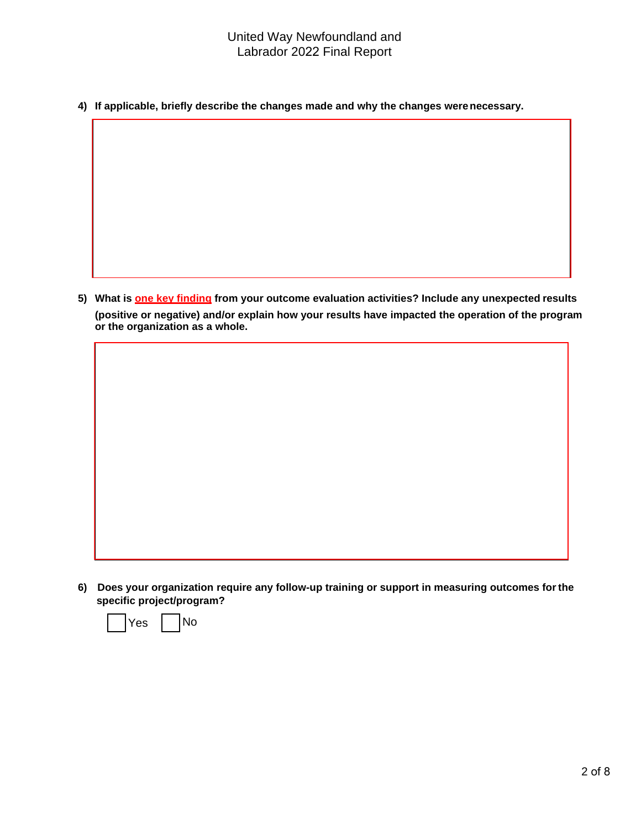**4) If applicable, briefly describe the changes made and why the changes werenecessary.**

**5) What is one key finding from your outcome evaluation activities? Include any unexpected results (positive or negative) and/or explain how your results have impacted the operation of the program or the organization as a whole.**

**6) Does your organization require any follow-up training or support in measuring outcomes forthe specific project/program?**

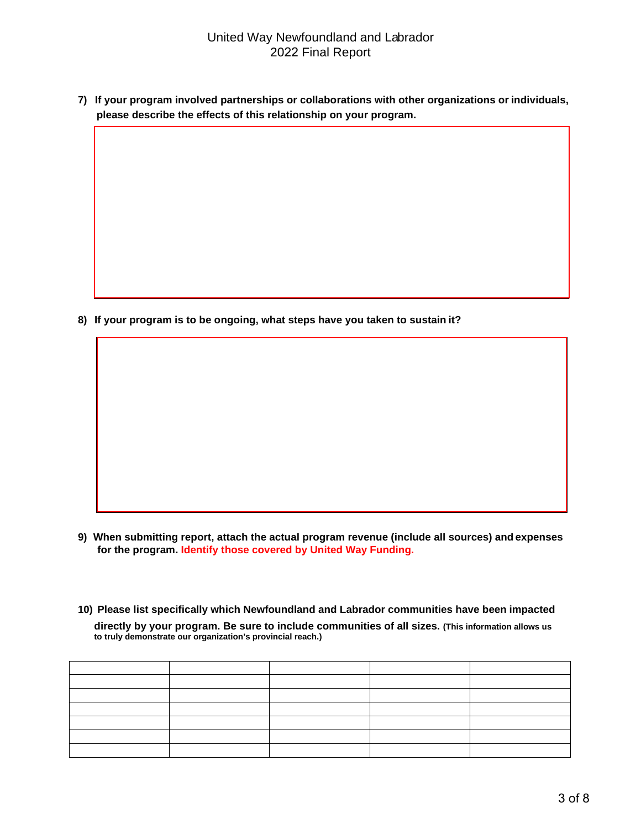**7) If your program involved partnerships or collaborations with other organizations or individuals, please describe the effects of this relationship on your program.**

**8) If your program is to be ongoing, what steps have you taken to sustain it?**

- **9) When submitting report, attach the actual program revenue (include all sources) and expenses for the program. Identify those covered by United Way Funding.**
- **10) Please list specifically which Newfoundland and Labrador communities have been impacted directly by your program. Be sure to include communities of all sizes. (This information allows us to truly demonstrate our organization's provincial reach.)**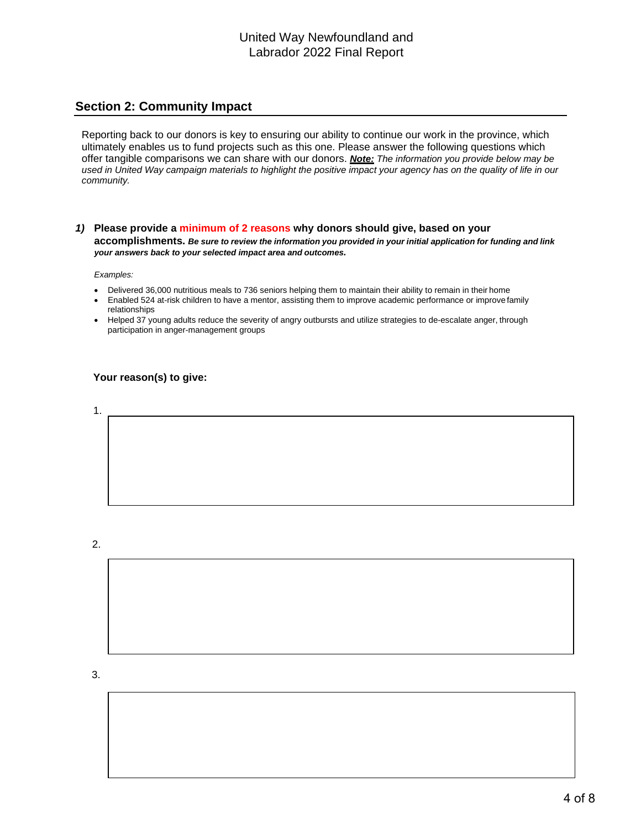### **Section 2: Community Impact**

Reporting back to our donors is key to ensuring our ability to continue our work in the province, which ultimately enables us to fund projects such as this one. Please answer the following questions which offer tangible comparisons we can share with our donors. *Note: The information you provide below may be used in United Way campaign materials to highlight the positive impact your agency has on the quality of life in our community.*

#### *1)* **Please provide a minimum of 2 reasons why donors should give, based on your** accomplishments. Be sure to review the information you provided in your initial application for funding and link *your answers back to your selected impact area and outcomes.*

*Examples:*

- Delivered 36,000 nutritious meals to 736 seniors helping them to maintain their ability to remain in their home
- Enabled 524 at-risk children to have a mentor, assisting them to improve academic performance or improve family relationships
- Helped 37 young adults reduce the severity of angry outbursts and utilize strategies to de-escalate anger, through participation in anger-management groups

#### **Your reason(s) to give:**

1.

2.

3.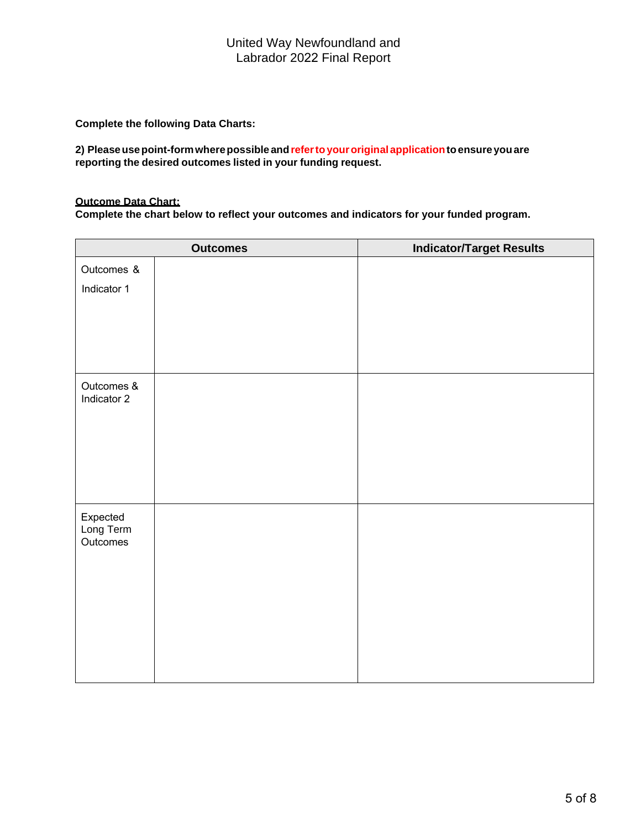**Complete the following Data Charts:**

**2) Pleaseusepoint-formwherepossible andrefertoyouroriginal applicationtoensure youare reporting the desired outcomes listed in your funding request.**

#### **Outcome Data Chart:**

**Complete the chart below to reflect your outcomes and indicators for your funded program.** 

|                           | <b>Outcomes</b> | <b>Indicator/Target Results</b> |
|---------------------------|-----------------|---------------------------------|
| Outcomes &                |                 |                                 |
| Indicator 1               |                 |                                 |
|                           |                 |                                 |
|                           |                 |                                 |
|                           |                 |                                 |
|                           |                 |                                 |
| Outcomes &<br>Indicator 2 |                 |                                 |
|                           |                 |                                 |
|                           |                 |                                 |
|                           |                 |                                 |
|                           |                 |                                 |
| Expected                  |                 |                                 |
| Long Term<br>Outcomes     |                 |                                 |
|                           |                 |                                 |
|                           |                 |                                 |
|                           |                 |                                 |
|                           |                 |                                 |
|                           |                 |                                 |
|                           |                 |                                 |
|                           |                 |                                 |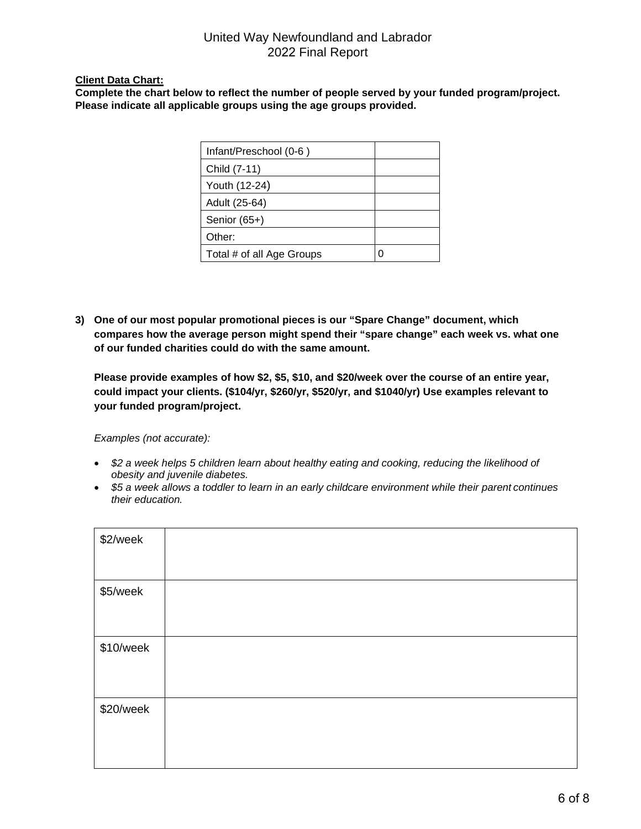### **Client Data Chart:**

**Complete the chart below to reflect the number of people served by your funded program/project. Please indicate all applicable groups using the age groups provided.**

| Infant/Preschool (0-6)    |              |
|---------------------------|--------------|
| Child (7-11)              |              |
| Youth (12-24)             |              |
| Adult (25-64)             |              |
| Senior (65+)              |              |
| Other:                    |              |
| Total # of all Age Groups | $\mathbf{C}$ |

**3) One of our most popular promotional pieces is our "Spare Change" document, which compares how the average person might spend their "spare change" each week vs. what one of our funded charities could do with the same amount.**

**Please provide examples of how \$2, \$5, \$10, and \$20/week over the course of an entire year, could impact your clients. (\$104/yr, \$260/yr, \$520/yr, and \$1040/yr) Use examples relevant to your funded program/project.**

*Examples (not accurate):*

- *\$2 a week helps 5 children learn about healthy eating and cooking, reducing the likelihood of obesity and juvenile diabetes.*
- *\$5 a week allows a toddler to learn in an early childcare environment while their parent continues their education.*

| \$2/week  |  |
|-----------|--|
| \$5/week  |  |
| \$10/week |  |
| \$20/week |  |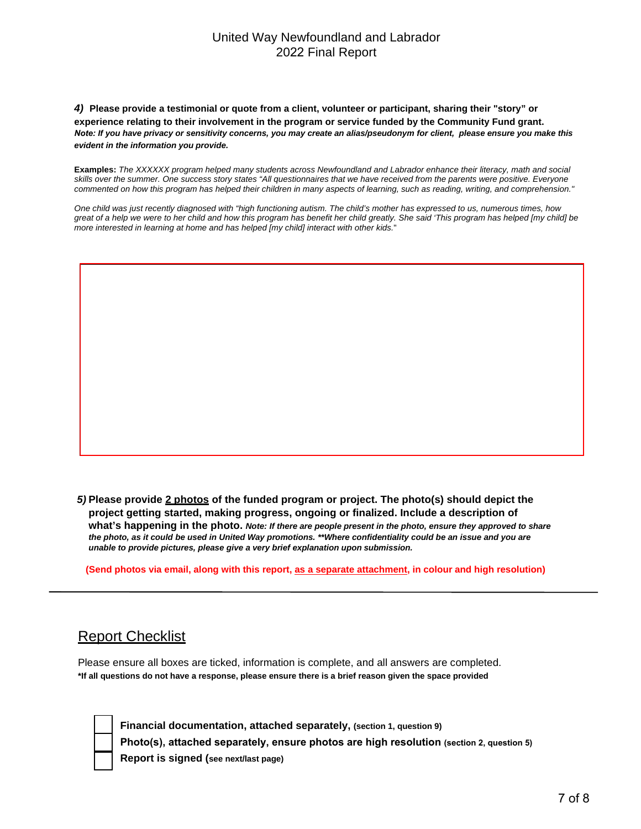*4)* **Please provide a testimonial or quote from a client, volunteer or participant, sharing their "story" or experience relating to their involvement in the program or service funded by the Community Fund grant.** *Note: If you have privacy or sensitivity concerns, you may create an alias/pseudonym for client, please ensure you make this evident in the information you provide.*

**Examples:** *The XXXXXX program helped many students across Newfoundland and Labrador enhance their literacy, math and social skills over the summer. One success story states "All questionnaires that we have received from the parents were positive. Everyone commented on how this program has helped their children in many aspects of learning, such as reading, writing, and comprehension."* 

*One child was just recently diagnosed with "high functioning autism. The child's mother has expressed to us, numerous times, how great of a help we were to her child and how this program has benefit her child greatly. She said 'This program has helped [my child] be more interested in learning at home and has helped [my child] interact with other kids.*"

*5)* **Please provide 2 photos of the funded program or project. The photo(s) should depict the project getting started, making progress, ongoing or finalized. Include a description of what's happening in the photo.** *Note: If there are people present in the photo, ensure they approved to share the photo, as it could be used in United Way promotions. \*\*Where confidentiality could be an issue and you are unable to provide pictures, please give a very brief explanation upon submission.*

**(Send photos via email, along with this report, as a separate attachment, in colour and high resolution)**

# Report Checklist

Please ensure all boxes are ticked, information is complete, and all answers are completed. **\*If all questions do not have a response, please ensure there is a brief reason given the space provided**

**Financial documentation, attached separately, (section 1, question 9) Photo(s), attached separately, ensure photos are high resolution (section 2, question 5) Report is signed (see next/last page)**